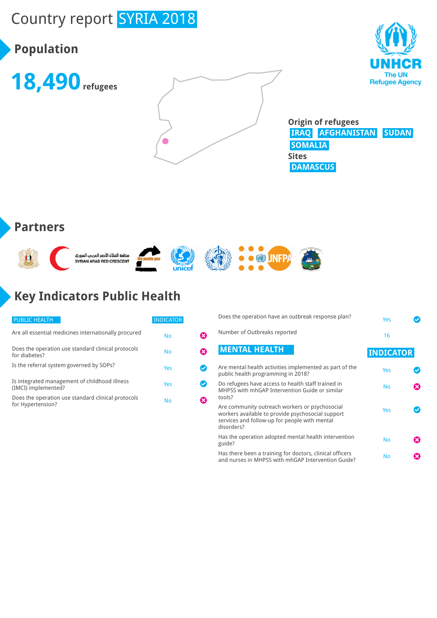# Country report SYRIA 2018

# **Population**







**Origin of refugees IRAQ AFGHANISTAN SUDAN SOMALIA Sites DAMASCUS**

#### **Partners**



# **Key Indicators Public Health**

| <b>PUBLIC HEALTH</b>                                                    | <b>INDICATOR</b> |    |
|-------------------------------------------------------------------------|------------------|----|
| Are all essential medicines internationally procured                    | No               |    |
| Does the operation use standard clinical protocols<br>for diabetes?     | No               | X) |
| Is the referral system governed by SOPs?                                | Yes              |    |
| Is integrated management of childhood illness<br>(IMCI) implemented?    | Yes              |    |
| Does the operation use standard clinical protocols<br>for Hypertension? | No               |    |

|            | Does the operation have an outbreak response plan?                                                                                                   | <b>Yes</b>       |  |
|------------|------------------------------------------------------------------------------------------------------------------------------------------------------|------------------|--|
|            | Number of Outbreaks reported                                                                                                                         | 16               |  |
|            | <b>MENTAL HEALTH</b>                                                                                                                                 | <b>INDICATOR</b> |  |
|            | Are mental health activities implemented as part of the<br>public health programming in 2018?                                                        | Yes              |  |
| tools?     | Do refugees have access to health staff trained in<br>MHPSS with mhGAP Intervention Guide or similar                                                 | <b>No</b>        |  |
| disorders? | Are community outreach workers or psychosocial<br>workers available to provide psychosocial support<br>services and follow-up for people with mental | Yes              |  |
| guide?     | Has the operation adopted mental health intervention                                                                                                 | <b>No</b>        |  |
|            | Has there been a training for doctors, clinical officers<br>and nurses in MHPSS with mhGAP Intervention Guide?                                       | <b>No</b>        |  |